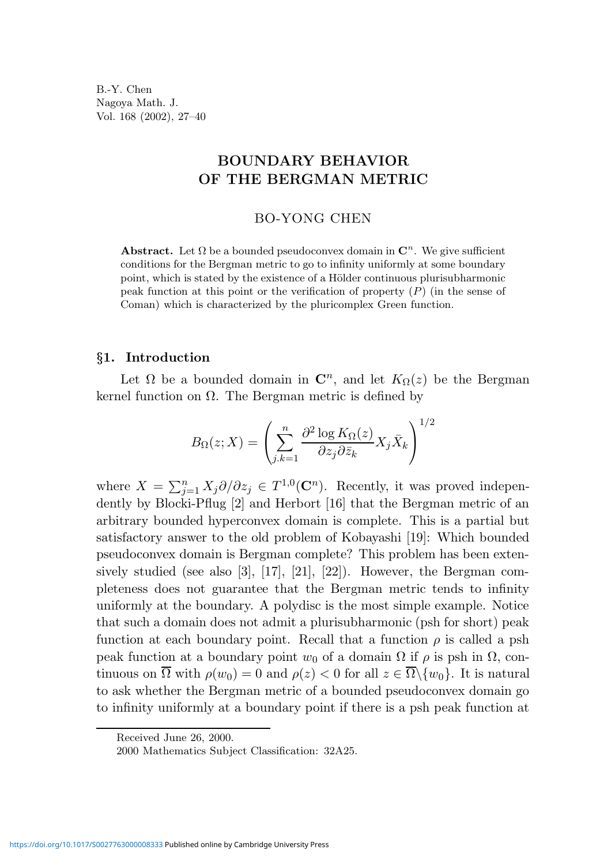B.-Y. Chen Nagoya Math. J. Vol. 168 (2002), 27–40

## BOUNDARY BEHAVIOR OF THE BERGMAN METRIC

#### BO-YONG CHEN

**Abstract.** Let  $\Omega$  be a bounded pseudoconvex domain in  $\mathbb{C}^n$ . We give sufficient conditions for the Bergman metric to go to infinity uniformly at some boundary point, which is stated by the existence of a Hölder continuous plurisubharmonic peak function at this point or the verification of property  $(P)$  (in the sense of Coman) which is characterized by the pluricomplex Green function.

## §1. Introduction

Let  $\Omega$  be a bounded domain in  $\mathbb{C}^n$ , and let  $K_{\Omega}(z)$  be the Bergman kernel function on Ω. The Bergman metric is defined by

$$
B_{\Omega}(z;X) = \left(\sum_{j,k=1}^{n} \frac{\partial^2 \log K_{\Omega}(z)}{\partial z_j \partial \bar{z}_k} X_j \bar{X}_k\right)^{1/2}
$$

where  $X = \sum_{j=1}^{n} X_j \partial/\partial z_j \in T^{1,0}(\mathbb{C}^n)$ . Recently, it was proved independently by Blocki-Pflug [2] and Herbort [16] that the Bergman metric of an arbitrary bounded hyperconvex domain is complete. This is a partial but satisfactory answer to the old problem of Kobayashi [19]: Which bounded pseudoconvex domain is Bergman complete? This problem has been extensively studied (see also [3], [17], [21], [22]). However, the Bergman completeness does not guarantee that the Bergman metric tends to infinity uniformly at the boundary. A polydisc is the most simple example. Notice that such a domain does not admit a plurisubharmonic (psh for short) peak function at each boundary point. Recall that a function  $\rho$  is called a psh peak function at a boundary point  $w_0$  of a domain  $\Omega$  if  $\rho$  is psh in  $\Omega$ , continuous on  $\overline{\Omega}$  with  $\rho(w_0) = 0$  and  $\rho(z) < 0$  for all  $z \in \overline{\Omega} \setminus \{w_0\}$ . It is natural to ask whether the Bergman metric of a bounded pseudoconvex domain go to infinity uniformly at a boundary point if there is a psh peak function at

Received June 26, 2000.

<sup>2000</sup> Mathematics Subject Classification: 32A25.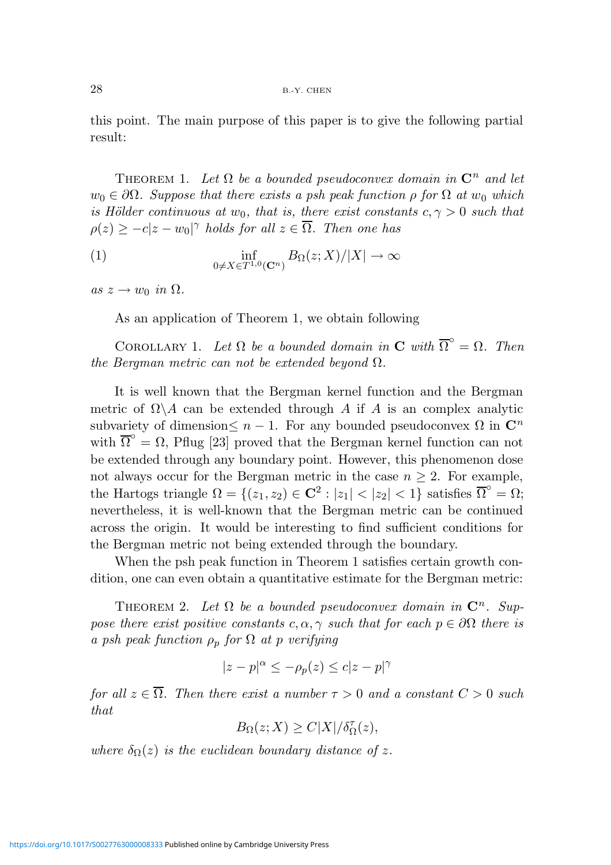this point. The main purpose of this paper is to give the following partial result:

THEOREM 1. Let  $\Omega$  be a bounded pseudoconvex domain in  $\mathbb{C}^n$  and let  $w_0 \in \partial \Omega$ . Suppose that there exists a psh peak function  $\rho$  for  $\Omega$  at  $w_0$  which is Hölder continuous at  $w_0$ , that is, there exist constants  $c, \gamma > 0$  such that  $\rho(z) \geq -c|z-w_0|^{\gamma}$  holds for all  $z \in \overline{\Omega}$ . Then one has

(1) 
$$
\inf_{0 \neq X \in T^{1,0}(\mathbf{C}^n)} B_{\Omega}(z;X)/|X| \to \infty
$$

as  $z \to w_0$  in  $\Omega$ .

As an application of Theorem 1, we obtain following

COROLLARY 1. Let  $\Omega$  be a bounded domain in **C** with  $\overline{\Omega}^{\circ} = \Omega$ . Then the Bergman metric can not be extended beyond  $\Omega$ .

It is well known that the Bergman kernel function and the Bergman metric of  $\Omega \backslash A$  can be extended through A if A is an complex analytic subvariety of dimension  $\leq n-1$ . For any bounded pseudoconvex  $\Omega$  in  $\mathbb{C}^n$ with  $\overline{\Omega}^{\circ} = \Omega$ , Pflug [23] proved that the Bergman kernel function can not be extended through any boundary point. However, this phenomenon dose not always occur for the Bergman metric in the case  $n \geq 2$ . For example, the Hartogs triangle  $\Omega = \{(z_1, z_2) \in \mathbb{C}^2 : |z_1| < |z_2| < 1\}$  satisfies  $\overline{\Omega}^{\circ} = \Omega;$ nevertheless, it is well-known that the Bergman metric can be continued across the origin. It would be interesting to find sufficient conditions for the Bergman metric not being extended through the boundary.

When the psh peak function in Theorem 1 satisfies certain growth condition, one can even obtain a quantitative estimate for the Bergman metric:

THEOREM 2. Let  $\Omega$  be a bounded pseudoconvex domain in  $\mathbb{C}^n$ . Suppose there exist positive constants c,  $\alpha$ ,  $\gamma$  such that for each  $p \in \partial\Omega$  there is a psh peak function  $\rho_p$  for  $\Omega$  at p verifying

$$
|z - p|^{\alpha} \le -\rho_p(z) \le c|z - p|^{\gamma}
$$

for all  $z \in \overline{\Omega}$ . Then there exist a number  $\tau > 0$  and a constant  $C > 0$  such that

$$
B_{\Omega}(z;X)\geq C|X|/\delta_{\Omega}^{\tau}(z),
$$

where  $\delta_{\Omega}(z)$  is the euclidean boundary distance of z.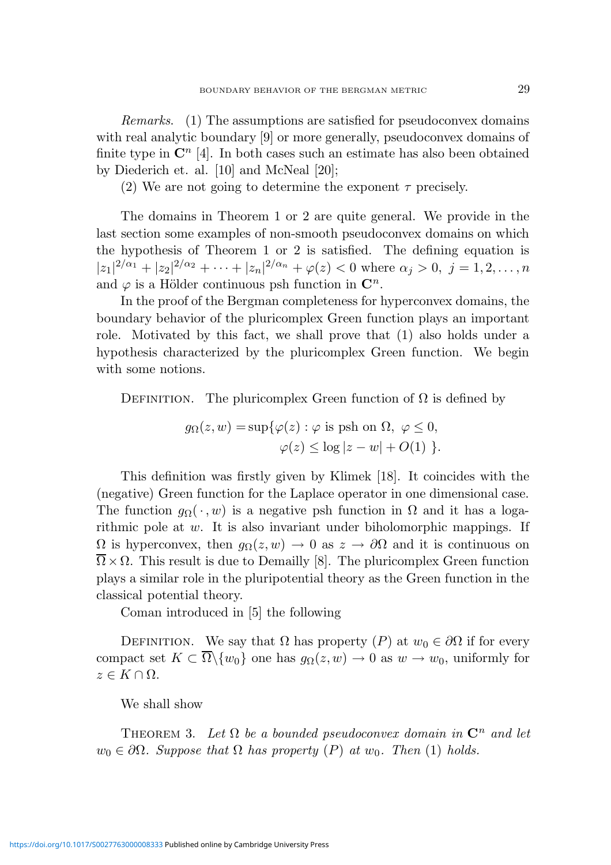Remarks. (1) The assumptions are satisfied for pseudoconvex domains with real analytic boundary [9] or more generally, pseudoconvex domains of finite type in  $\mathbb{C}^n$  [4]. In both cases such an estimate has also been obtained by Diederich et. al. [10] and McNeal [20];

(2) We are not going to determine the exponent  $\tau$  precisely.

The domains in Theorem 1 or 2 are quite general. We provide in the last section some examples of non-smooth pseudoconvex domains on which the hypothesis of Theorem 1 or 2 is satisfied. The defining equation is  $|z_1|^{2/\alpha_1} + |z_2|^{2/\alpha_2} + \cdots + |z_n|^{2/\alpha_n} + \varphi(z) < 0$  where  $\alpha_j > 0$ ,  $j = 1, 2, \ldots, n$ and  $\varphi$  is a Hölder continuous psh function in  $\mathbb{C}^n$ .

In the proof of the Bergman completeness for hyperconvex domains, the boundary behavior of the pluricomplex Green function plays an important role. Motivated by this fact, we shall prove that (1) also holds under a hypothesis characterized by the pluricomplex Green function. We begin with some notions.

DEFINITION. The pluricomplex Green function of  $\Omega$  is defined by

$$
g_{\Omega}(z, w) = \sup \{ \varphi(z) : \varphi \text{ is psh on } \Omega, \ \varphi \le 0, \varphi(z) \le \log |z - w| + O(1) \}.
$$

This definition was firstly given by Klimek [18]. It coincides with the (negative) Green function for the Laplace operator in one dimensional case. The function  $g_{\Omega}(\cdot, w)$  is a negative psh function in  $\Omega$  and it has a logarithmic pole at w. It is also invariant under biholomorphic mappings. If  $\Omega$  is hyperconvex, then  $g_{\Omega}(z, w) \to 0$  as  $z \to \partial\Omega$  and it is continuous on  $\overline{\Omega} \times \Omega$ . This result is due to Demailly [8]. The pluricomplex Green function plays a similar role in the pluripotential theory as the Green function in the classical potential theory.

Coman introduced in [5] the following

DEFINITION. We say that  $\Omega$  has property  $(P)$  at  $w_0 \in \partial \Omega$  if for every compact set  $K \subset \overline{\Omega} \setminus \{w_0\}$  one has  $g_{\Omega}(z, w) \to 0$  as  $w \to w_0$ , uniformly for  $z \in K \cap \Omega$ .

We shall show

THEOREM 3. Let  $\Omega$  be a bounded pseudoconvex domain in  $\mathbb{C}^n$  and let  $w_0 \in \partial \Omega$ . Suppose that  $\Omega$  has property  $(P)$  at  $w_0$ . Then  $(1)$  holds.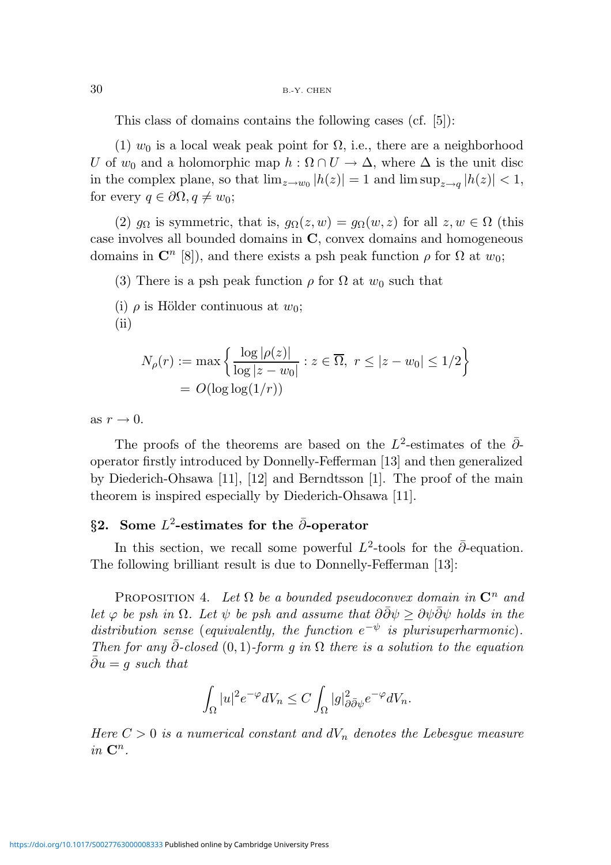30 B.-Y. CHEN

This class of domains contains the following cases (cf. [5]):

(1)  $w_0$  is a local weak peak point for  $\Omega$ , i.e., there are a neighborhood U of  $w_0$  and a holomorphic map  $h : \Omega \cap U \to \Delta$ , where  $\Delta$  is the unit disc in the complex plane, so that  $\lim_{z \to w_0} |h(z)| = 1$  and  $\limsup_{z \to q} |h(z)| < 1$ , for every  $q \in \partial \Omega, q \neq w_0;$ 

(2)  $g_{\Omega}$  is symmetric, that is,  $g_{\Omega}(z, w) = g_{\Omega}(w, z)$  for all  $z, w \in \Omega$  (this case involves all bounded domains in C, convex domains and homogeneous domains in  $\mathbb{C}^n$  [8]), and there exists a psh peak function  $\rho$  for  $\Omega$  at  $w_0$ ;

(3) There is a psh peak function  $\rho$  for  $\Omega$  at  $w_0$  such that

(i)  $\rho$  is Hölder continuous at  $w_0$ ;  $(ii)$ 

$$
N_{\rho}(r) := \max \left\{ \frac{\log |\rho(z)|}{\log |z - w_0|} : z \in \overline{\Omega}, \ r \le |z - w_0| \le 1/2 \right\}
$$

$$
= O(\log \log(1/r))
$$

as  $r \to 0$ .

The proofs of the theorems are based on the  $L^2$ -estimates of the  $\bar{\partial}$ operator firstly introduced by Donnelly-Fefferman [13] and then generalized by Diederich-Ohsawa [11], [12] and Berndtsson [1]. The proof of the main theorem is inspired especially by Diederich-Ohsawa [11].

# §2. Some  $L^2$ -estimates for the  $\bar{\partial}$ -operator

In this section, we recall some powerful  $L^2$ -tools for the  $\bar{\partial}$ -equation. The following brilliant result is due to Donnelly-Fefferman [13]:

PROPOSITION 4. Let  $\Omega$  be a bounded pseudoconvex domain in  $\mathbb{C}^n$  and let  $\varphi$  be psh in  $\Omega$ . Let  $\psi$  be psh and assume that  $\partial \bar{\partial} \psi \geq \partial \psi \bar{\partial} \psi$  holds in the distribution sense (equivalently, the function  $e^{-\psi}$  is plurisuperharmonic). Then for any  $\bar{\partial}$ -closed (0, 1)-form q in  $\Omega$  there is a solution to the equation  $\bar{\partial}u = q$  such that

$$
\int_{\Omega} |u|^2 e^{-\varphi} dV_n \leq C \int_{\Omega} |g|^2_{\partial \bar{\partial} \psi} e^{-\varphi} dV_n.
$$

Here  $C > 0$  is a numerical constant and  $dV_n$  denotes the Lebesgue measure in  $\mathbf{C}^n$ .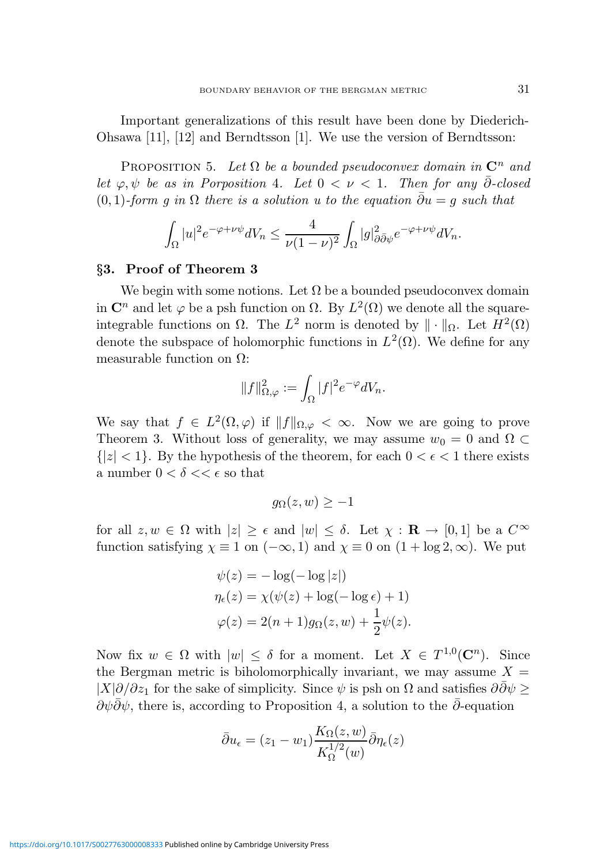Important generalizations of this result have been done by Diederich-Ohsawa [11], [12] and Berndtsson [1]. We use the version of Berndtsson:

PROPOSITION 5. Let  $\Omega$  be a bounded pseudoconvex domain in  $\mathbb{C}^n$  and let  $\varphi, \psi$  be as in Porposition 4. Let  $0 < \nu < 1$ . Then for any  $\overline{\partial}$ -closed (0, 1)-form q in  $\Omega$  there is a solution u to the equation  $\bar{\partial}u = q$  such that

$$
\int_{\Omega} |u|^2 e^{-\varphi + \nu \psi} dV_n \leq \frac{4}{\nu (1 - \nu)^2} \int_{\Omega} |g|_{\partial \bar{\partial} \psi}^2 e^{-\varphi + \nu \psi} dV_n.
$$

#### §3. Proof of Theorem 3

We begin with some notions. Let  $\Omega$  be a bounded pseudoconvex domain in  $\mathbb{C}^n$  and let  $\varphi$  be a psh function on  $\Omega$ . By  $L^2(\Omega)$  we denote all the squareintegrable functions on  $\Omega$ . The  $L^2$  norm is denoted by  $\|\cdot\|_{\Omega}$ . Let  $H^2(\Omega)$ denote the subspace of holomorphic functions in  $L^2(\Omega)$ . We define for any measurable function on  $\Omega$ :

$$
||f||_{\Omega,\varphi}^2 := \int_{\Omega} |f|^2 e^{-\varphi} dV_n.
$$

We say that  $f \in L^2(\Omega, \varphi)$  if  $||f||_{\Omega, \varphi} < \infty$ . Now we are going to prove Theorem 3. Without loss of generality, we may assume  $w_0 = 0$  and  $\Omega \subset$  ${|z| < 1}$ . By the hypothesis of the theorem, for each  $0 < \epsilon < 1$  there exists a number  $0 < \delta << \epsilon$  so that

$$
g_{\Omega}(z,w) \geq -1
$$

for all  $z, w \in \Omega$  with  $|z| \geq \epsilon$  and  $|w| \leq \delta$ . Let  $\chi : \mathbf{R} \to [0, 1]$  be a  $C^{\infty}$ function satisfying  $\chi \equiv 1$  on  $(-\infty, 1)$  and  $\chi \equiv 0$  on  $(1 + \log 2, \infty)$ . We put

$$
\psi(z) = -\log(-\log|z|)
$$
  
\n
$$
\eta_{\epsilon}(z) = \chi(\psi(z) + \log(-\log \epsilon) + 1)
$$
  
\n
$$
\varphi(z) = 2(n+1)g_{\Omega}(z, w) + \frac{1}{2}\psi(z).
$$

Now fix  $w \in \Omega$  with  $|w| \leq \delta$  for a moment. Let  $X \in T^{1,0}(\mathbb{C}^n)$ . Since the Bergman metric is biholomorphically invariant, we may assume  $X =$  $|X|\partial/\partial z_1$  for the sake of simplicity. Since  $\psi$  is psh on  $\Omega$  and satisfies  $\partial \bar{\partial} \psi \geq 0$  $\partial \psi \partial \psi$ , there is, according to Proposition 4, a solution to the  $\partial$ -equation

$$
\bar{\partial}u_{\epsilon} = (z_1 - w_1) \frac{K_{\Omega}(z, w)}{K_{\Omega}^{1/2}(w)} \bar{\partial}\eta_{\epsilon}(z)
$$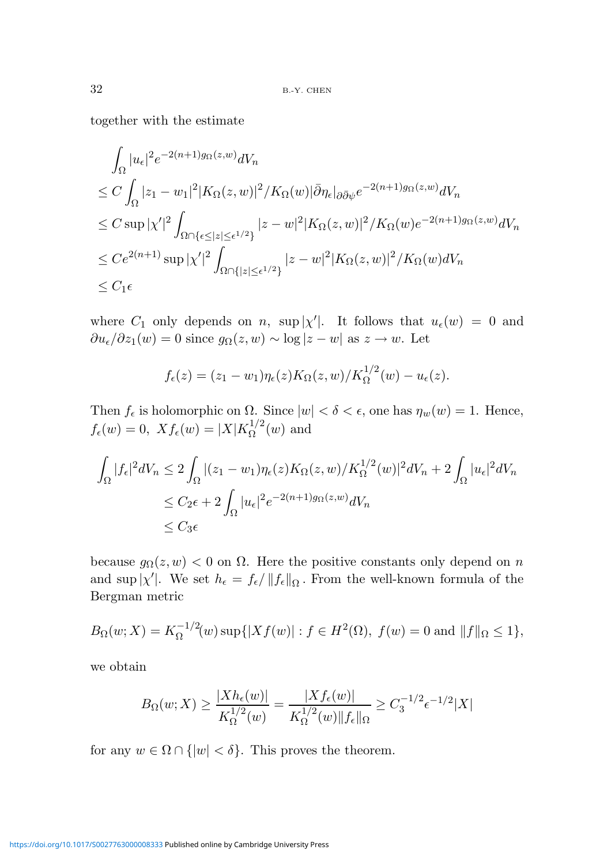together with the estimate

$$
\int_{\Omega} |u_{\epsilon}|^{2} e^{-2(n+1)g_{\Omega}(z,w)} dV_{n}
$$
\n
$$
\leq C \int_{\Omega} |z_{1} - w_{1}|^{2} |K_{\Omega}(z,w)|^{2} / K_{\Omega}(w) |\bar{\partial} \eta_{\epsilon}|_{\partial \bar{\partial} \psi} e^{-2(n+1)g_{\Omega}(z,w)} dV_{n}
$$
\n
$$
\leq C \sup_{\Omega} |\chi'|^{2} \int_{\Omega \cap \{\epsilon \leq |z| \leq \epsilon^{1/2}\}} |z - w|^{2} |K_{\Omega}(z,w)|^{2} / K_{\Omega}(w) e^{-2(n+1)g_{\Omega}(z,w)} dV_{n}
$$
\n
$$
\leq C e^{2(n+1)} \sup_{\Omega} |\chi'|^{2} \int_{\Omega \cap \{|z| \leq \epsilon^{1/2}\}} |z - w|^{2} |K_{\Omega}(z,w)|^{2} / K_{\Omega}(w) dV_{n}
$$
\n
$$
\leq C_{1} \epsilon
$$

where  $C_1$  only depends on n, sup  $|\chi'|$ . It follows that  $u_{\epsilon}(w) = 0$  and  $\partial u_{\epsilon}/\partial z_1(w) = 0$  since  $g_{\Omega}(z, w) \sim \log |z - w|$  as  $z \to w$ . Let

$$
f_{\epsilon}(z) = (z_1 - w_1)\eta_{\epsilon}(z)K_{\Omega}(z,w)/K_{\Omega}^{1/2}(w) - u_{\epsilon}(z).
$$

Then  $f_{\epsilon}$  is holomorphic on  $\Omega$ . Since  $|w| < \delta < \epsilon$ , one has  $\eta_w(w) = 1$ . Hence,  $f_{\epsilon}(w) = 0, \; X f_{\epsilon}(w) = |X| K_{\Omega}^{1/2}$  $\Omega^{1/2}(w)$  and

$$
\int_{\Omega} |f_{\epsilon}|^{2} dV_{n} \leq 2 \int_{\Omega} |(z_{1} - w_{1}) \eta_{\epsilon}(z) K_{\Omega}(z, w) / K_{\Omega}^{1/2}(w)|^{2} dV_{n} + 2 \int_{\Omega} |u_{\epsilon}|^{2} dV_{n}
$$
\n
$$
\leq C_{2} \epsilon + 2 \int_{\Omega} |u_{\epsilon}|^{2} e^{-2(n+1)g_{\Omega}(z, w)} dV_{n}
$$
\n
$$
\leq C_{3} \epsilon
$$

because  $g_{\Omega}(z, w) < 0$  on  $\Omega$ . Here the positive constants only depend on n and sup  $|\chi'|$ . We set  $h_{\epsilon} = f_{\epsilon}/||f_{\epsilon}||_{\Omega}$ . From the well-known formula of the Bergman metric

$$
B_{\Omega}(w;X) = K_{\Omega}^{-1/2}(w) \sup\{|Xf(w)| : f \in H^{2}(\Omega), f(w) = 0 \text{ and } ||f||_{\Omega} \le 1\},\
$$

we obtain

$$
B_{\Omega}(w;X) \ge \frac{|Xh_{\epsilon}(w)|}{K_{\Omega}^{1/2}(w)} = \frac{|Xf_{\epsilon}(w)|}{K_{\Omega}^{1/2}(w)\|f_{\epsilon}\|_{\Omega}} \ge C_{3}^{-1/2}\epsilon^{-1/2}|X|
$$

for any  $w \in \Omega \cap \{|w| < \delta\}$ . This proves the theorem.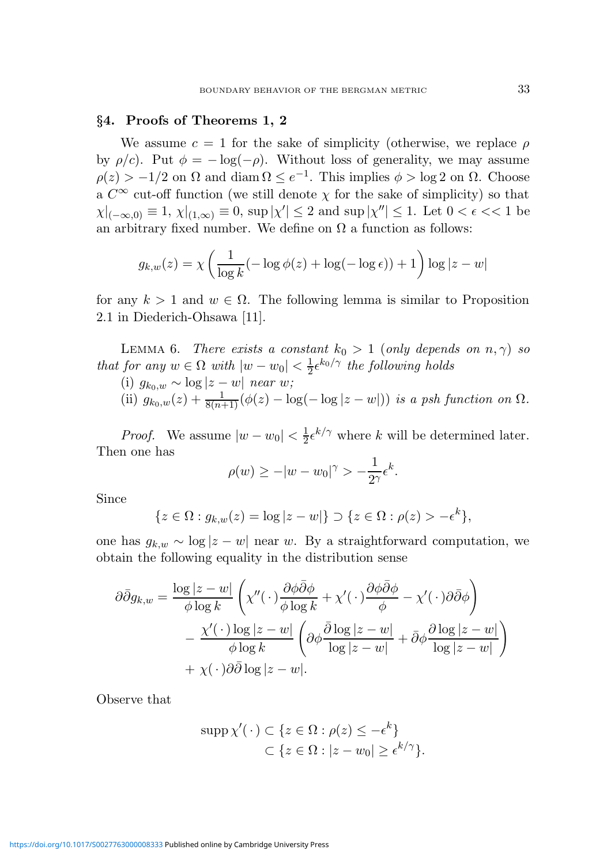#### §4. Proofs of Theorems 1, 2

We assume  $c = 1$  for the sake of simplicity (otherwise, we replace  $\rho$ by  $\rho/c$ . Put  $\phi = -\log(-\rho)$ . Without loss of generality, we may assume  $\rho(z) > -1/2$  on  $\Omega$  and diam  $\Omega \le e^{-1}$ . This implies  $\phi > \log 2$  on  $\Omega$ . Choose a  $C^{\infty}$  cut-off function (we still denote  $\chi$  for the sake of simplicity) so that  $\chi|_{(-\infty,0)} \equiv 1, \chi|_{(1,\infty)} \equiv 0$ , sup  $|\chi'| \leq 2$  and sup  $|\chi''| \leq 1$ . Let  $0 < \epsilon < 1$  be an arbitrary fixed number. We define on  $\Omega$  a function as follows:

$$
g_{k,w}(z) = \chi \left( \frac{1}{\log k} (-\log \phi(z) + \log(-\log \epsilon)) + 1 \right) \log |z - w|
$$

for any  $k > 1$  and  $w \in \Omega$ . The following lemma is similar to Proposition 2.1 in Diederich-Ohsawa [11].

LEMMA 6. There exists a constant  $k_0 > 1$  (only depends on  $n, \gamma$ ) so that for any  $w \in \Omega$  with  $|w - w_0| < \frac{1}{2}$  $\frac{1}{2} \epsilon^{k_0/\gamma}$  the following holds

(i) 
$$
g_{k_0,w} \sim \log |z-w|
$$
 near  $w$ ;  
(ii)  $g_{k_0,w}(z) + \frac{1}{8(n+1)} (\phi(z) - \log(-\log|z-w|))$  is a psh function on  $\Omega$ .

*Proof.* We assume  $|w - w_0| < \frac{1}{2}$  $\frac{1}{2} \epsilon^{k/\gamma}$  where k will be determined later. Then one has

$$
\rho(w) \ge -|w - w_0|^{\gamma} > -\frac{1}{2^{\gamma}} \epsilon^k.
$$

Since

$$
\{z \in \Omega : g_{k,w}(z) = \log |z - w|\} \supset \{z \in \Omega : \rho(z) > -\epsilon^k\},\
$$

one has  $g_{k,w}$  ∼ log  $|z-w|$  near w. By a straightforward computation, we obtain the following equality in the distribution sense

$$
\partial \bar{\partial} g_{k,w} = \frac{\log |z - w|}{\phi \log k} \left( \chi''(\cdot) \frac{\partial \phi \bar{\partial} \phi}{\phi \log k} + \chi'(\cdot) \frac{\partial \phi \bar{\partial} \phi}{\phi} - \chi'(\cdot) \partial \bar{\partial} \phi \right) \n- \frac{\chi'(\cdot) \log |z - w|}{\phi \log k} \left( \partial \phi \frac{\bar{\partial} \log |z - w|}{\log |z - w|} + \bar{\partial} \phi \frac{\partial \log |z - w|}{\log |z - w|} \right) \n+ \chi(\cdot) \partial \bar{\partial} \log |z - w|.
$$

Observe that

$$
\operatorname{supp}\chi'(\cdot) \subset \{z \in \Omega : \rho(z) \le -\epsilon^k\}
$$

$$
\subset \{z \in \Omega : |z - w_0| \ge \epsilon^{k/\gamma}\}.
$$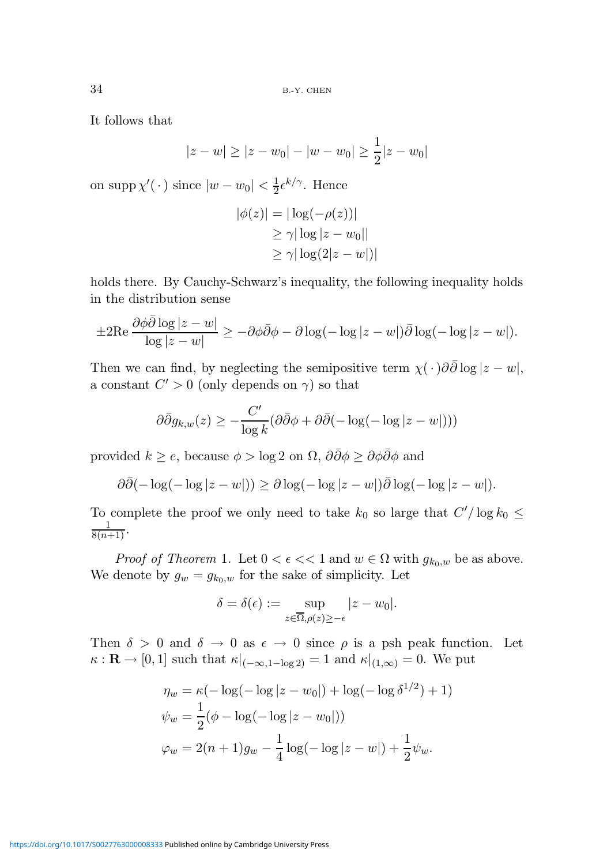34 B.-Y. CHEN

It follows that

$$
|z - w| \ge |z - w_0| - |w - w_0| \ge \frac{1}{2}|z - w_0|
$$

on supp  $\chi'(\cdot)$  since  $|w - w_0| < \frac{1}{2} \epsilon^{k/\gamma}$ . Hence

$$
|\phi(z)| = |\log(-\rho(z))|
$$
  
\n
$$
\ge \gamma |\log |z - w_0||
$$
  
\n
$$
\ge \gamma |\log(2|z - w|)|
$$

holds there. By Cauchy-Schwarz's inequality, the following inequality holds in the distribution sense

$$
\pm 2\text{Re}\,\frac{\partial\phi\bar{\partial}\log|z-w|}{\log|z-w|} \geq -\partial\phi\bar{\partial}\phi - \partial\log(-\log|z-w|)\bar{\partial}\log(-\log|z-w|).
$$

Then we can find, by neglecting the semipositive term  $\chi(\cdot)\partial\bar{\partial}\log|z-w|$ , a constant  $C' > 0$  (only depends on  $\gamma$ ) so that

$$
\partial \bar{\partial} g_{k,w}(z) \ge -\frac{C'}{\log k} (\partial \bar{\partial} \phi + \partial \bar{\partial} (-\log(-\log|z-w|)))
$$

provided  $k \geq e$ , because  $\phi > \log 2$  on  $\Omega$ ,  $\partial \bar{\partial} \phi \geq \partial \phi \bar{\partial} \phi$  and

$$
\partial \overline{\partial}(-\log(-\log|z-w|)) \geq \partial \log(-\log|z-w|) \overline{\partial} \log(-\log|z-w|).
$$

To complete the proof we only need to take  $k_0$  so large that  $C'/\log k_0 \leq$  $\frac{1}{8(n+1)}$ .

*Proof of Theorem 1.* Let  $0 < \epsilon \ll 1$  and  $w \in \Omega$  with  $g_{k_0,w}$  be as above. We denote by  $g_w = g_{k_0,w}$  for the sake of simplicity. Let

$$
\delta = \delta(\epsilon) := \sup_{z \in \overline{\Omega}, \rho(z) \ge -\epsilon} |z - w_0|.
$$

Then  $\delta > 0$  and  $\delta \to 0$  as  $\epsilon \to 0$  since  $\rho$  is a psh peak function. Let  $\kappa : \mathbf{R} \to [0,1]$  such that  $\kappa|_{(-\infty,1-\log 2)} = 1$  and  $\kappa|_{(1,\infty)} = 0$ . We put

$$
\eta_w = \kappa (-\log(-\log|z - w_0|) + \log(-\log \delta^{1/2}) + 1)
$$
  

$$
\psi_w = \frac{1}{2} (\phi - \log(-\log|z - w_0|))
$$
  

$$
\varphi_w = 2(n+1)g_w - \frac{1}{4} \log(-\log|z - w|) + \frac{1}{2} \psi_w.
$$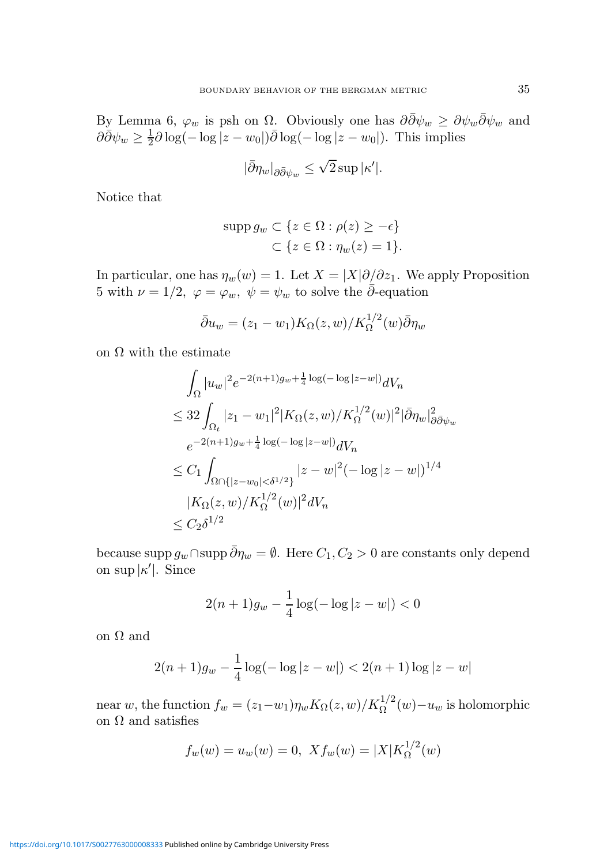By Lemma 6,  $\varphi_w$  is psh on  $\Omega$ . Obviously one has  $\partial \bar{\partial} \psi_w \geq \partial \psi_w \bar{\partial} \psi_w$  and  $\partial \bar{\partial} \psi_w \geq \frac{1}{2}$  $\frac{1}{2}\partial \log(-\log|z-w_0|)\bar{\partial}\log(-\log|z-w_0|)$ . This implies

$$
|\bar{\partial}\eta_w|_{\partial\bar{\partial}\psi_w} \leq \sqrt{2} \sup |\kappa'|.
$$

Notice that

$$
\text{supp } g_w \subset \{ z \in \Omega : \rho(z) \ge -\epsilon \} \subset \{ z \in \Omega : \eta_w(z) = 1 \}.
$$

In particular, one has  $\eta_w(w) = 1$ . Let  $X = |X|\partial/\partial z_1$ . We apply Proposition 5 with  $\nu = 1/2$ ,  $\varphi = \varphi_w$ ,  $\psi = \psi_w$  to solve the  $\bar{\partial}$ -equation

$$
\bar{\partial}u_w = (z_1 - w_1)K_{\Omega}(z, w)/K_{\Omega}^{1/2}(w)\bar{\partial}\eta_w
$$

on  $\Omega$  with the estimate

$$
\int_{\Omega} |u_{w}|^{2} e^{-2(n+1)g_{w} + \frac{1}{4}\log(-\log|z-w|)} dV_{n}
$$
\n
$$
\leq 32 \int_{\Omega_{t}} |z_{1} - w_{1}|^{2} |K_{\Omega}(z, w)/K_{\Omega}^{1/2}(w)|^{2} |\bar{\partial}\eta_{w}|^{2}_{\partial\bar{\partial}\psi_{w}}
$$
\n
$$
e^{-2(n+1)g_{w} + \frac{1}{4}\log(-\log|z-w|)} dV_{n}
$$
\n
$$
\leq C_{1} \int_{\Omega \cap \{|z-w_{0}| < \delta^{1/2}\}} |z-w|^{2} (-\log|z-w|)^{1/4}
$$
\n
$$
|K_{\Omega}(z, w)/K_{\Omega}^{1/2}(w)|^{2} dV_{n}
$$
\n
$$
\leq C_{2} \delta^{1/2}
$$

because supp  $g_w \cap \text{supp }\bar{\partial}\eta_w = \emptyset$ . Here  $C_1, C_2 > 0$  are constants only depend on sup  $|\kappa'|$ . Since

$$
2(n+1)g_w - \frac{1}{4}\log(-\log|z-w|) < 0
$$

on  $\Omega$  and

$$
2(n+1)g_w - \frac{1}{4}\log(-\log|z-w|) < 2(n+1)\log|z-w|
$$

near w, the function  $f_w = (z_1 - w_1)\eta_w K_{\Omega}(z, w) / K_{\Omega}^{1/2}(w) - u_w$  is holomorphic on  $\Omega$  and satisfies

$$
f_w(w) = u_w(w) = 0, \ X f_w(w) = |X| K_{\Omega}^{1/2}(w)
$$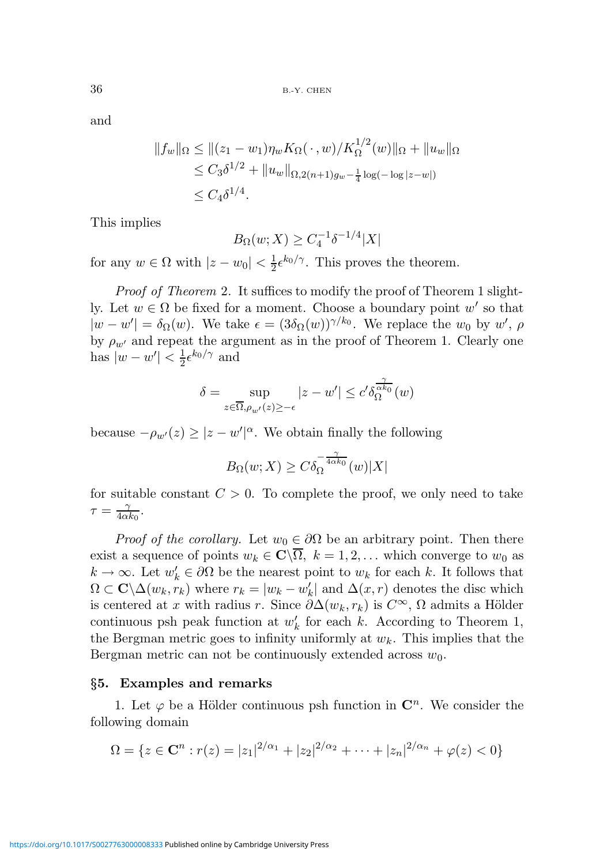and

$$
||f_w||_{\Omega} \le ||(z_1 - w_1)\eta_w K_{\Omega}(\cdot, w) / K_{\Omega}^{1/2}(w)||_{\Omega} + ||u_w||_{\Omega}
$$
  
\n
$$
\le C_3 \delta^{1/2} + ||u_w||_{\Omega, 2(n+1)g_w - \frac{1}{4}\log(-\log|z-w|)}
$$
  
\n
$$
\le C_4 \delta^{1/4}.
$$

This implies

$$
B_{\Omega}(w;X) \ge C_4^{-1} \delta^{-1/4} |X|
$$

for any  $w \in \Omega$  with  $|z - w_0| < \frac{1}{2}$  $\frac{1}{2} \epsilon^{k_0/\gamma}$ . This proves the theorem.

Proof of Theorem 2. It suffices to modify the proof of Theorem 1 slightly. Let  $w \in \Omega$  be fixed for a moment. Choose a boundary point w' so that  $|w - w'| = \delta_{\Omega}(w)$ . We take  $\epsilon = (3\delta_{\Omega}(w))^{\gamma/k_0}$ . We replace the  $w_0$  by  $w'$ ,  $\rho$ by  $\rho_{w'}$  and repeat the argument as in the proof of Theorem 1. Clearly one has  $|w - w'| < \frac{1}{2}$  $\frac{1}{2} \epsilon^{k_0/\gamma}$  and

$$
\delta = \sup_{z \in \overline{\Omega}, \rho_{w'}(z) \geq -\epsilon} |z - w'| \leq c' \delta_{\Omega}^{\frac{\gamma}{\alpha k_0}}(w)
$$

because  $-\rho_{w'}(z) \geq |z - w'|^{\alpha}$ . We obtain finally the following

$$
B_{\Omega}(w;X)\geq C\delta_{\Omega}^{-\frac{\gamma}{4\alpha k_{0}}}(w)|X|
$$

for suitable constant  $C > 0$ . To complete the proof, we only need to take  $\tau = \frac{\gamma}{4\alpha}$  $\frac{\gamma}{4\alpha k_0}$ .

*Proof of the corollary.* Let  $w_0 \in \partial\Omega$  be an arbitrary point. Then there exist a sequence of points  $w_k \in \mathbb{C}\backslash\overline{\Omega}$ ,  $k = 1, 2, \ldots$  which converge to  $w_0$  as  $k \to \infty$ . Let  $w'_k \in \partial \Omega$  be the nearest point to  $w_k$  for each k. It follows that  $\Omega \subset \mathbf{C} \backslash \Delta(w_k, r_k)$  where  $r_k = |w_k - w'_k|$  and  $\Delta(x, r)$  denotes the disc which is centered at x with radius r. Since  $\partial \Delta(w_k, r_k)$  is  $C^{\infty}$ ,  $\Omega$  admits a Hölder continuous psh peak function at  $w'_k$  for each k. According to Theorem 1, the Bergman metric goes to infinity uniformly at  $w_k$ . This implies that the Bergman metric can not be continuously extended across  $w_0$ .

## §5. Examples and remarks

1. Let  $\varphi$  be a Hölder continuous psh function in  $\mathbb{C}^n$ . We consider the following domain

$$
\Omega = \{ z \in \mathbf{C}^n : r(z) = |z_1|^{2/\alpha_1} + |z_2|^{2/\alpha_2} + \dots + |z_n|^{2/\alpha_n} + \varphi(z) < 0 \}
$$

<https://doi.org/10.1017/S0027763000008333>Published online by Cambridge University Press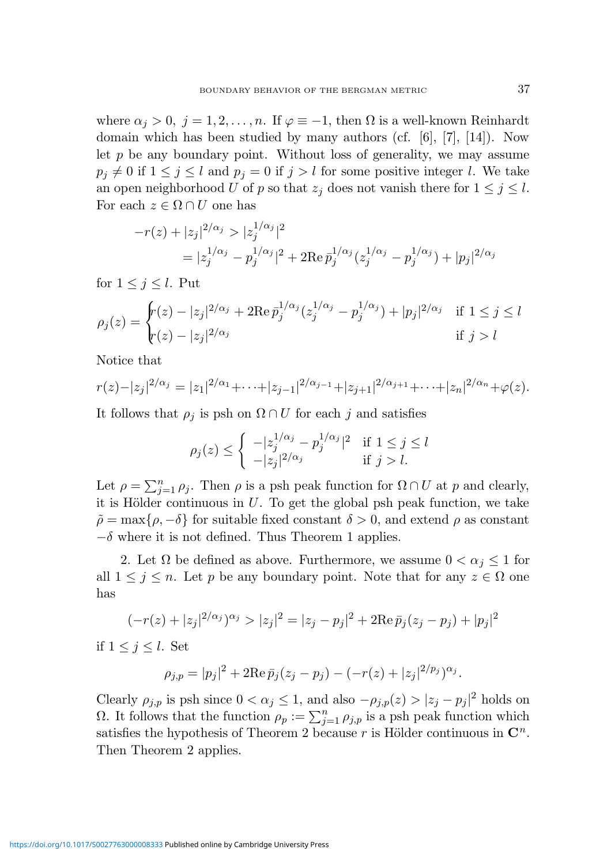where  $\alpha_j > 0$ ,  $j = 1, 2, ..., n$ . If  $\varphi \equiv -1$ , then  $\Omega$  is a well-known Reinhardt domain which has been studied by many authors (cf.  $[6]$ ,  $[7]$ ,  $[14]$ ). Now let  $p$  be any boundary point. Without loss of generality, we may assume  $p_j \neq 0$  if  $1 \leq j \leq l$  and  $p_j = 0$  if  $j > l$  for some positive integer l. We take an open neighborhood U of p so that  $z_j$  does not vanish there for  $1 \leq j \leq l$ . For each  $z \in \Omega \cap U$  one has

$$
-r(z) + |z_j|^{2/\alpha_j} > |z_j^{1/\alpha_j}|^2
$$
  
=  $|z_j^{1/\alpha_j} - p_j^{1/\alpha_j}|^2 + 2\text{Re}\,\bar{p}_j^{1/\alpha_j}(z_j^{1/\alpha_j} - p_j^{1/\alpha_j}) + |p_j|^{2/\alpha_j}$ 

for  $1 \leq j \leq l$ . Put

$$
\rho_j(z) = \begin{cases} r(z) - |z_j|^{2/\alpha_j} + 2\mathrm{Re}\,\bar{p}_j^{1/\alpha_j}(z_j^{1/\alpha_j} - p_j^{1/\alpha_j}) + |p_j|^{2/\alpha_j} & \text{if } 1 \le j \le l \\ r(z) - |z_j|^{2/\alpha_j} & \text{if } j > l \end{cases}
$$

Notice that

$$
r(z)-|z_j|^{2/\alpha_j}=|z_1|^{2/\alpha_1}+\cdots+|z_{j-1}|^{2/\alpha_{j-1}}+|z_{j+1}|^{2/\alpha_{j+1}}+\cdots+|z_n|^{2/\alpha_n}+\varphi(z).
$$

It follows that  $\rho_j$  is psh on  $\Omega \cap U$  for each j and satisfies

$$
\rho_j(z) \le \begin{cases} \ -|z_j^{1/\alpha_j} - p_j^{1/\alpha_j}|^2 & \text{if } 1 \le j \le l \\ \ -|z_j|^{2/\alpha_j} & \text{if } j > l. \end{cases}
$$

Let  $\rho = \sum_{j=1}^n \rho_j$ . Then  $\rho$  is a psh peak function for  $\Omega \cap U$  at p and clearly, it is Hölder continuous in  $U$ . To get the global psh peak function, we take  $\tilde{\rho} = \max\{\rho, -\delta\}$  for suitable fixed constant  $\delta > 0$ , and extend  $\rho$  as constant  $-\delta$  where it is not defined. Thus Theorem 1 applies.

2. Let  $\Omega$  be defined as above. Furthermore, we assume  $0 < \alpha_j \leq 1$  for all  $1 \leq j \leq n$ . Let p be any boundary point. Note that for any  $z \in \Omega$  one has

$$
(-r(z) + |z_j|^{2/\alpha_j})^{\alpha_j} > |z_j|^2 = |z_j - p_j|^2 + 2\operatorname{Re} \bar{p}_j(z_j - p_j) + |p_j|^2
$$

if  $1 \leq j \leq l$ . Set

$$
\rho_{j,p} = |p_j|^2 + 2\mathrm{Re}\,\bar{p}_j(z_j - p_j) - (-r(z) + |z_j|^{2/p_j})^{\alpha_j}.
$$

Clearly  $\rho_{j,p}$  is psh since  $0 < \alpha_j \leq 1$ , and also  $-\rho_{j,p}(z) > |z_j - p_j|^2$  holds on Ω. It follows that the function  $ρ<sub>p</sub> := \sum_{j=1}^{n} ρ_{j,p}$  is a psh peak function which satisfies the hypothesis of Theorem 2 because r is Hölder continuous in  $\mathbb{C}^n$ . Then Theorem 2 applies.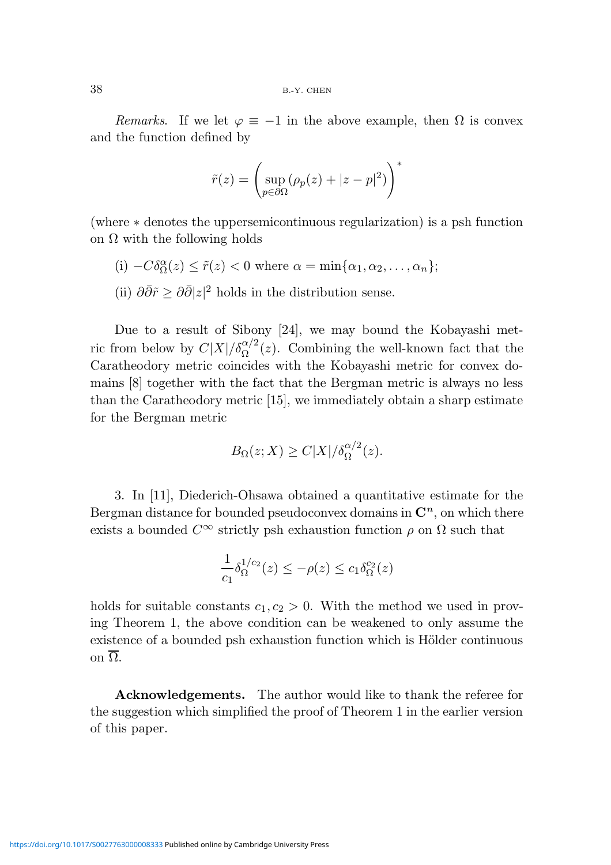Remarks. If we let  $\varphi \equiv -1$  in the above example, then  $\Omega$  is convex and the function defined by

$$
\tilde{r}(z) = \left(\sup_{p \in \partial \Omega} (\rho_p(z) + |z - p|^2) \right)^*
$$

(where ∗ denotes the uppersemicontinuous regularization) is a psh function on  $\Omega$  with the following holds

(i) 
$$
-C\delta_{\Omega}^{\alpha}(z) \le \tilde{r}(z) < 0
$$
 where  $\alpha = \min\{\alpha_1, \alpha_2, ..., \alpha_n\};$   
(ii)  $0.95z \ge 0.9112$ 

(ii)  $\partial \bar{\partial} \tilde{r} \geq \partial \bar{\partial} |z|^2$  holds in the distribution sense.

Due to a result of Sibony [24], we may bound the Kobayashi metric from below by  $C|X|/\delta_{\Omega}^{\alpha/2}(z)$ . Combining the well-known fact that the Caratheodory metric coincides with the Kobayashi metric for convex domains [8] together with the fact that the Bergman metric is always no less than the Caratheodory metric [15], we immediately obtain a sharp estimate for the Bergman metric

$$
B_{\Omega}(z;X) \ge C|X|/\delta_{\Omega}^{\alpha/2}(z).
$$

3. In [11], Diederich-Ohsawa obtained a quantitative estimate for the Bergman distance for bounded pseudoconvex domains in  $\mathbb{C}^n$ , on which there exists a bounded  $C^{\infty}$  strictly psh exhaustion function  $\rho$  on  $\Omega$  such that

$$
\frac{1}{c_1} \delta_{\Omega}^{1/c_2}(z) \le -\rho(z) \le c_1 \delta_{\Omega}^{c_2}(z)
$$

holds for suitable constants  $c_1, c_2 > 0$ . With the method we used in proving Theorem 1, the above condition can be weakened to only assume the existence of a bounded psh exhaustion function which is Hölder continuous on  $\overline{\Omega}$ .

Acknowledgements. The author would like to thank the referee for the suggestion which simplified the proof of Theorem 1 in the earlier version of this paper.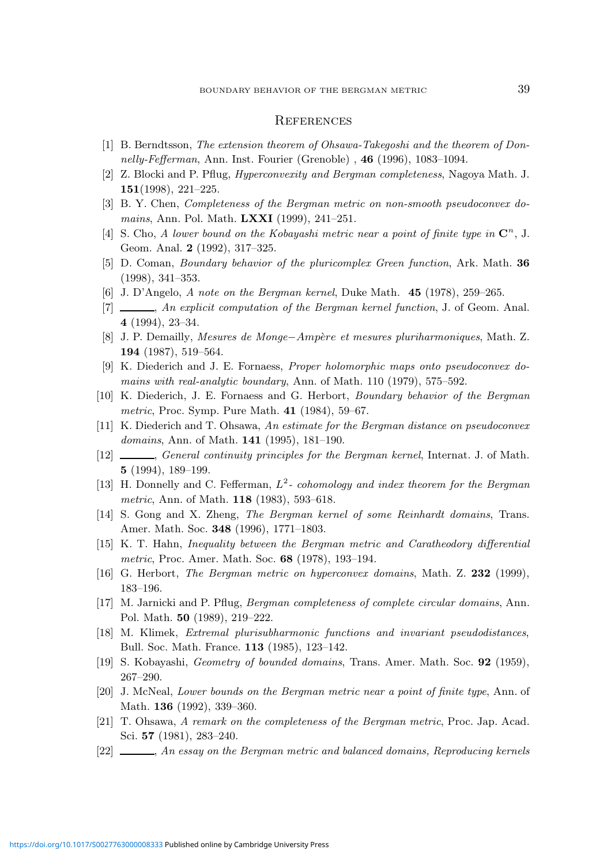#### **REFERENCES**

- [1] B. Berndtsson, The extension theorem of Ohsawa-Takegoshi and the theorem of Donnelly-Fefferman, Ann. Inst. Fourier (Grenoble) , 46 (1996), 1083–1094.
- [2] Z. Blocki and P. Pflug, Hyperconvexity and Bergman completeness, Nagoya Math. J. 151(1998), 221–225.
- [3] B. Y. Chen, Completeness of the Bergman metric on non-smooth pseudoconvex domains, Ann. Pol. Math. **LXXI** (1999), 241-251.
- [4] S. Cho, A lower bound on the Kobayashi metric near a point of finite type in  $\mathbb{C}^n$ , J. Geom. Anal. 2 (1992), 317–325.
- [5] D. Coman, Boundary behavior of the pluricomplex Green function, Ark. Math. 36 (1998), 341–353.
- [6] J. D'Angelo, A note on the Bergman kernel, Duke Math. 45 (1978), 259–265.
- [7]  $\Box$ , An explicit computation of the Bergman kernel function, J. of Geom. Anal. 4 (1994), 23–34.
- [8] J. P. Demailly, Mesures de Monge−Ampère et mesures pluriharmoniques, Math. Z. 194 (1987), 519–564.
- [9] K. Diederich and J. E. Fornaess, Proper holomorphic maps onto pseudoconvex domains with real-analytic boundary, Ann. of Math. 110 (1979), 575–592.
- [10] K. Diederich, J. E. Fornaess and G. Herbort, Boundary behavior of the Bergman metric, Proc. Symp. Pure Math. 41 (1984), 59–67.
- [11] K. Diederich and T. Ohsawa, An estimate for the Bergman distance on pseudoconvex domains, Ann. of Math. **141** (1995), 181-190.
- [12] , General continuity principles for the Bergman kernel, Internat. J. of Math. 5 (1994), 189–199.
- [13] H. Donnelly and C. Fefferman,  $L^2$  cohomology and index theorem for the Bergman metric, Ann. of Math. 118 (1983), 593–618.
- [14] S. Gong and X. Zheng, The Bergman kernel of some Reinhardt domains, Trans. Amer. Math. Soc. 348 (1996), 1771–1803.
- [15] K. T. Hahn, Inequality between the Bergman metric and Caratheodory differential metric, Proc. Amer. Math. Soc. **68** (1978), 193–194.
- [16] G. Herbort, The Bergman metric on hyperconvex domains, Math. Z. 232 (1999), 183–196.
- [17] M. Jarnicki and P. Pflug, Bergman completeness of complete circular domains, Ann. Pol. Math. 50 (1989), 219–222.
- [18] M. Klimek, Extremal plurisubharmonic functions and invariant pseudodistances, Bull. Soc. Math. France. 113 (1985), 123–142.
- [19] S. Kobayashi, Geometry of bounded domains, Trans. Amer. Math. Soc. 92 (1959), 267–290.
- [20] J. McNeal, Lower bounds on the Bergman metric near a point of finite type, Ann. of Math. **136** (1992), 339–360.
- [21] T. Ohsawa, A remark on the completeness of the Bergman metric, Proc. Jap. Acad. Sci. 57 (1981), 283–240.
- [22] , An essay on the Bergman metric and balanced domains, Reproducing kernels